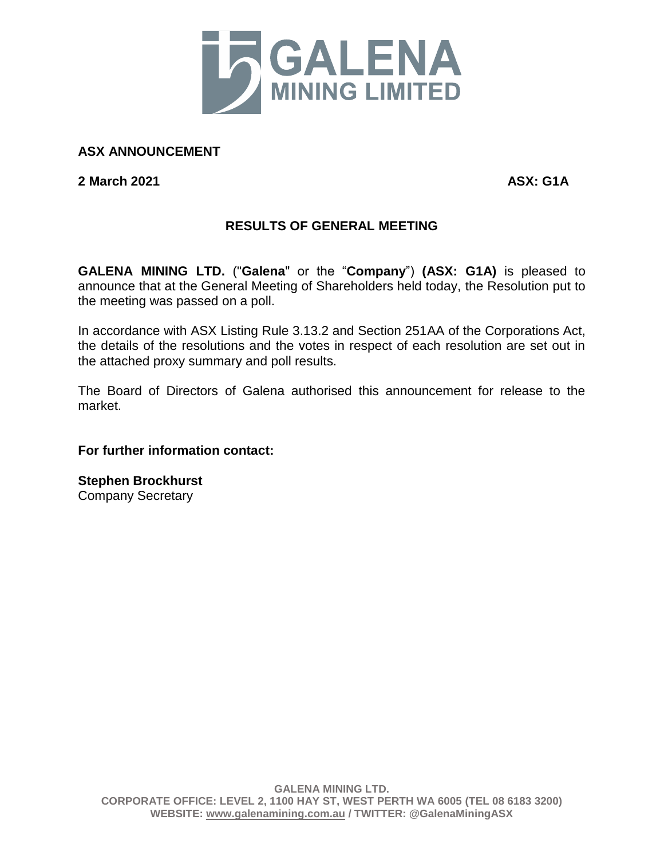

## **ASX ANNOUNCEMENT**

**2 March 2021 ASX: G1A**

## **RESULTS OF GENERAL MEETING**

**GALENA MINING LTD.** ("**Galena**" or the "**Company**") **(ASX: G1A)** is pleased to announce that at the General Meeting of Shareholders held today, the Resolution put to the meeting was passed on a poll.

In accordance with ASX Listing Rule 3.13.2 and Section 251AA of the Corporations Act, the details of the resolutions and the votes in respect of each resolution are set out in the attached proxy summary and poll results.

The Board of Directors of Galena authorised this announcement for release to the market.

## **For further information contact:**

**Stephen Brockhurst** Company Secretary